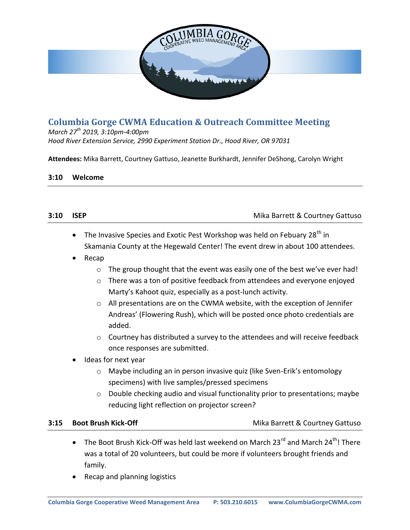

# **Columbia Gorge CWMA Education & Outreach Committee Meeting**

*March 27th 2019, 3:10pm-4:00pm Hood River Extension Service, 2990 Experiment Station Dr., Hood River, OR 97031*

**Attendees:** Mika Barrett, Courtney Gattuso, Jeanette Burkhardt, Jennifer DeShong, Carolyn Wright

### **3:10 Welcome**

| 3:10 | <b>ISEP</b>                                                                                       | Mika Barrett & Courtney Gattuso                                                                                                                                                                                                                                                                                                                                                                                                                                                                                                                                                                                                                                                                                                                                                                                                                                                                                           |  |
|------|---------------------------------------------------------------------------------------------------|---------------------------------------------------------------------------------------------------------------------------------------------------------------------------------------------------------------------------------------------------------------------------------------------------------------------------------------------------------------------------------------------------------------------------------------------------------------------------------------------------------------------------------------------------------------------------------------------------------------------------------------------------------------------------------------------------------------------------------------------------------------------------------------------------------------------------------------------------------------------------------------------------------------------------|--|
|      | $\bullet$<br>Recap<br>$\bullet$<br>$\circ$<br>$\circ$<br>$\circ$<br>$\circ$<br>$\circ$<br>$\circ$ | The Invasive Species and Exotic Pest Workshop was held on Febuary 28 <sup>th</sup> in<br>Skamania County at the Hegewald Center! The event drew in about 100 attendees.<br>The group thought that the event was easily one of the best we've ever had!<br>There was a ton of positive feedback from attendees and everyone enjoyed<br>Marty's Kahoot quiz, especially as a post-lunch activity.<br>All presentations are on the CWMA website, with the exception of Jennifer<br>Andreas' (Flowering Rush), which will be posted once photo credentials are<br>added.<br>Courtney has distributed a survey to the attendees and will receive feedback<br>once responses are submitted.<br>Ideas for next year<br>Maybe including an in person invasive quiz (like Sven-Erik's entomology<br>specimens) with live samples/pressed specimens<br>Double checking audio and visual functionality prior to presentations; maybe |  |
|      |                                                                                                   | reducing light reflection on projector screen?                                                                                                                                                                                                                                                                                                                                                                                                                                                                                                                                                                                                                                                                                                                                                                                                                                                                            |  |
|      |                                                                                                   |                                                                                                                                                                                                                                                                                                                                                                                                                                                                                                                                                                                                                                                                                                                                                                                                                                                                                                                           |  |
| 3:15 |                                                                                                   | <b>Boot Brush Kick-Off</b><br>Mika Barrett & Courtney Gattuso                                                                                                                                                                                                                                                                                                                                                                                                                                                                                                                                                                                                                                                                                                                                                                                                                                                             |  |
|      | $\bullet$                                                                                         | The Boot Brush Kick-Off was held last weekend on March 23 <sup>rd</sup> and March 24 <sup>th</sup> ! There<br>was a total of 20 volunteers, but could be more if volunteers brought friends and<br>family.<br>Recap and planning logistics                                                                                                                                                                                                                                                                                                                                                                                                                                                                                                                                                                                                                                                                                |  |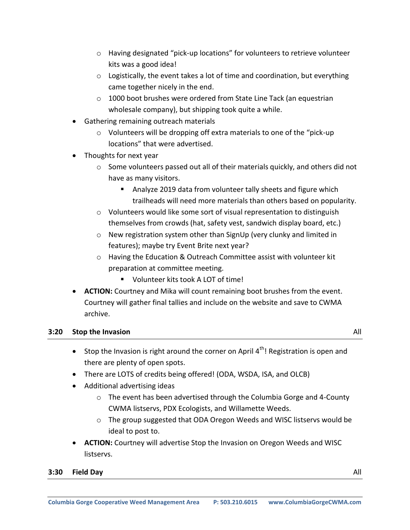- o Having designated "pick-up locations" for volunteers to retrieve volunteer kits was a good idea!
- $\circ$  Logistically, the event takes a lot of time and coordination, but everything came together nicely in the end.
- o 1000 boot brushes were ordered from State Line Tack (an equestrian wholesale company), but shipping took quite a while.
- Gathering remaining outreach materials
	- o Volunteers will be dropping off extra materials to one of the "pick-up locations" that were advertised.
- Thoughts for next year
	- $\circ$  Some volunteers passed out all of their materials quickly, and others did not have as many visitors.
		- **Analyze 2019 data from volunteer tally sheets and figure which** trailheads will need more materials than others based on popularity.
	- $\circ$  Volunteers would like some sort of visual representation to distinguish themselves from crowds (hat, safety vest, sandwich display board, etc.)
	- o New registration system other than SignUp (very clunky and limited in features); maybe try Event Brite next year?
	- o Having the Education & Outreach Committee assist with volunteer kit preparation at committee meeting.
		- Volunteer kits took A LOT of time!
- **ACTION:** Courtney and Mika will count remaining boot brushes from the event. Courtney will gather final tallies and include on the website and save to CWMA archive.

### **3:20** Stop the Invasion **All**

- Stop the Invasion is right around the corner on April  $4<sup>th</sup>$ ! Registration is open and there are plenty of open spots.
- There are LOTS of credits being offered! (ODA, WSDA, ISA, and OLCB)
- Additional advertising ideas
	- o The event has been advertised through the Columbia Gorge and 4-County CWMA listservs, PDX Ecologists, and Willamette Weeds.
	- o The group suggested that ODA Oregon Weeds and WISC listservs would be ideal to post to.
- **ACTION:** Courtney will advertise Stop the Invasion on Oregon Weeds and WISC listservs.

#### **3:30 Field Day** All